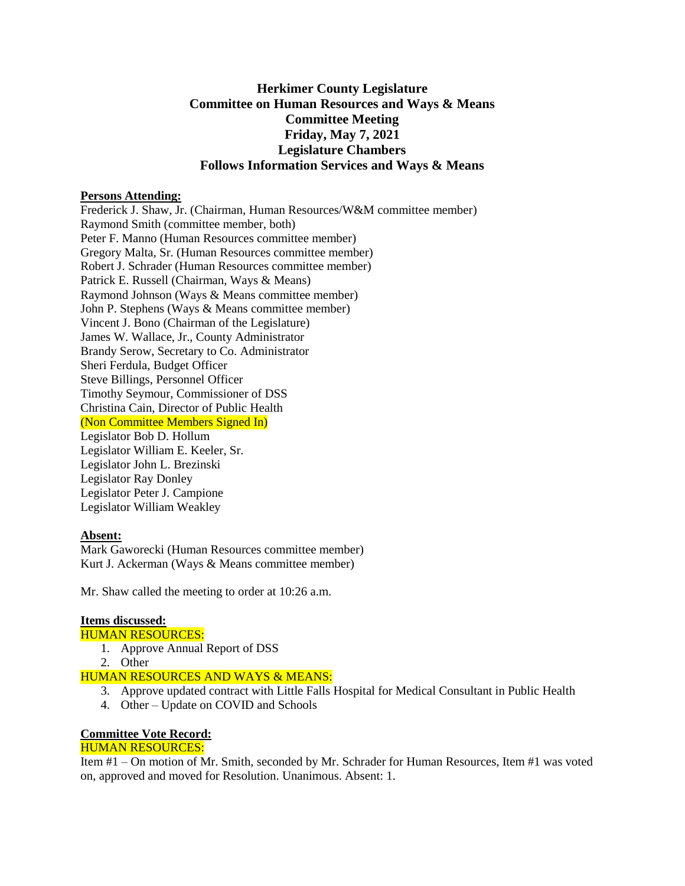# **Herkimer County Legislature Committee on Human Resources and Ways & Means Committee Meeting Friday, May 7, 2021 Legislature Chambers Follows Information Services and Ways & Means**

#### **Persons Attending:**

Frederick J. Shaw, Jr. (Chairman, Human Resources/W&M committee member) Raymond Smith (committee member, both) Peter F. Manno (Human Resources committee member) Gregory Malta, Sr. (Human Resources committee member) Robert J. Schrader (Human Resources committee member) Patrick E. Russell (Chairman, Ways & Means) Raymond Johnson (Ways & Means committee member) John P. Stephens (Ways & Means committee member) Vincent J. Bono (Chairman of the Legislature) James W. Wallace, Jr., County Administrator Brandy Serow, Secretary to Co. Administrator Sheri Ferdula, Budget Officer Steve Billings, Personnel Officer Timothy Seymour, Commissioner of DSS Christina Cain, Director of Public Health (Non Committee Members Signed In) Legislator Bob D. Hollum Legislator William E. Keeler, Sr. Legislator John L. Brezinski Legislator Ray Donley Legislator Peter J. Campione Legislator William Weakley

### **Absent:**

Mark Gaworecki (Human Resources committee member) Kurt J. Ackerman (Ways & Means committee member)

Mr. Shaw called the meeting to order at 10:26 a.m.

### **Items discussed:**

## HUMAN RESOURCES:

- 1. Approve Annual Report of DSS
- 2. Other

### HUMAN RESOURCES AND WAYS & MEANS:

- 3. Approve updated contract with Little Falls Hospital for Medical Consultant in Public Health
- 4. Other Update on COVID and Schools

### **Committee Vote Record:**

### HUMAN RESOURCES:

Item #1 – On motion of Mr. Smith, seconded by Mr. Schrader for Human Resources, Item #1 was voted on, approved and moved for Resolution. Unanimous. Absent: 1.